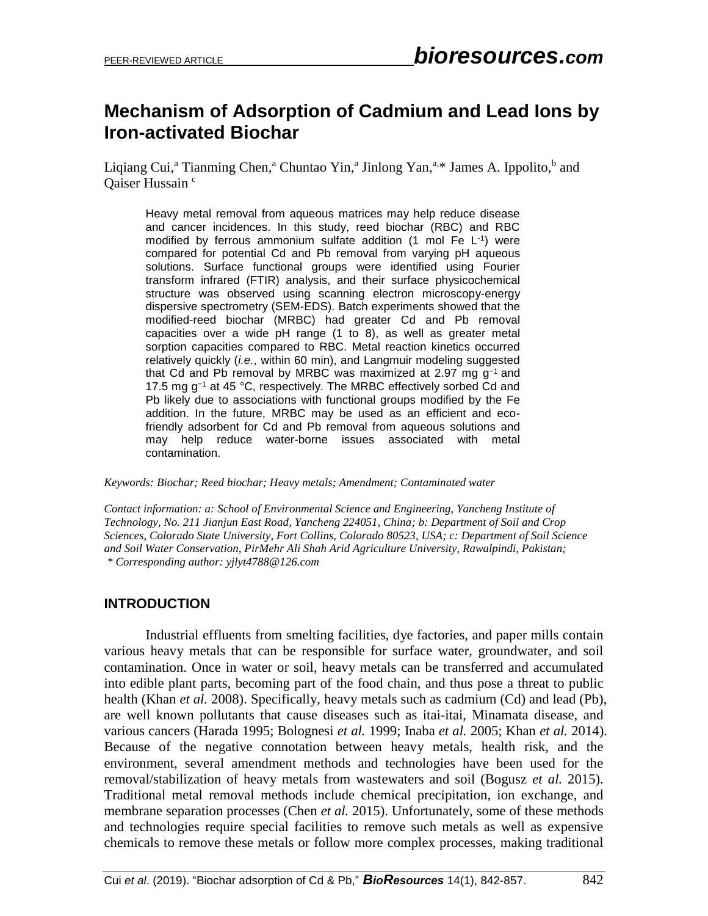# **Mechanism of Adsorption of Cadmium and Lead Ions by Iron-activated Biochar**

Liqiang Cui,<sup>a</sup> Tianming Chen,<sup>a</sup> Chuntao Yin,<sup>a</sup> Jinlong Yan,<sup>a,\*</sup> James A. Ippolito,<sup>b</sup> and Qaiser Hussain<sup>c</sup>

Heavy metal removal from aqueous matrices may help reduce disease and cancer incidences. In this study, reed biochar (RBC) and RBC modified by ferrous ammonium sulfate addition (1 mol Fe L-1 ) were compared for potential Cd and Pb removal from varying pH aqueous solutions. Surface functional groups were identified using Fourier transform infrared (FTIR) analysis, and their surface physicochemical structure was observed using scanning electron microscopy-energy dispersive spectrometry (SEM-EDS). Batch experiments showed that the modified-reed biochar (MRBC) had greater Cd and Pb removal capacities over a wide pH range (1 to 8), as well as greater metal sorption capacities compared to RBC. Metal reaction kinetics occurred relatively quickly (*i.e.*, within 60 min), and Langmuir modeling suggested that Cd and Pb removal by MRBC was maximized at 2.97 mg g−1 and 17.5 mg g−1 at 45 °C, respectively. The MRBC effectively sorbed Cd and Pb likely due to associations with functional groups modified by the Fe addition. In the future, MRBC may be used as an efficient and ecofriendly adsorbent for Cd and Pb removal from aqueous solutions and may help reduce water-borne issues associated with metal contamination.

*Keywords: Biochar; Reed biochar; Heavy metals; Amendment; Contaminated water*

*Contact information: a: School of Environmental Science and Engineering, Yancheng Institute of Technology, No. 211 Jianjun East Road, Yancheng 224051, China; b: Department of Soil and Crop Sciences, Colorado State University, Fort Collins, Colorado 80523, USA; c: Department of Soil Science and Soil Water Conservation, PirMehr Ali Shah Arid Agriculture University, Rawalpindi, Pakistan; \* Corresponding author: yjlyt4788@126.com*

## **INTRODUCTION**

Industrial effluents from smelting facilities, dye factories, and paper mills contain various heavy metals that can be responsible for surface water, groundwater, and soil contamination. Once in water or soil, heavy metals can be transferred and accumulated into edible plant parts, becoming part of the food chain, and thus pose a threat to public health (Khan *et al.* 2008). Specifically, heavy metals such as cadmium (Cd) and lead (Pb), are well known pollutants that cause diseases such as itai-itai, Minamata disease, and various cancers (Harada 1995; Bolognesi *et al.* 1999; Inaba *et al.* 2005; Khan *et al.* 2014). Because of the negative connotation between heavy metals, health risk, and the environment, several amendment methods and technologies have been used for the removal/stabilization of heavy metals from wastewaters and soil (Bogusz *et al.* 2015). Traditional metal removal methods include chemical precipitation, ion exchange, and membrane separation processes (Chen *et al.* 2015). Unfortunately, some of these methods and technologies require special facilities to remove such metals as well as expensive chemicals to remove these metals or follow more complex processes, making traditional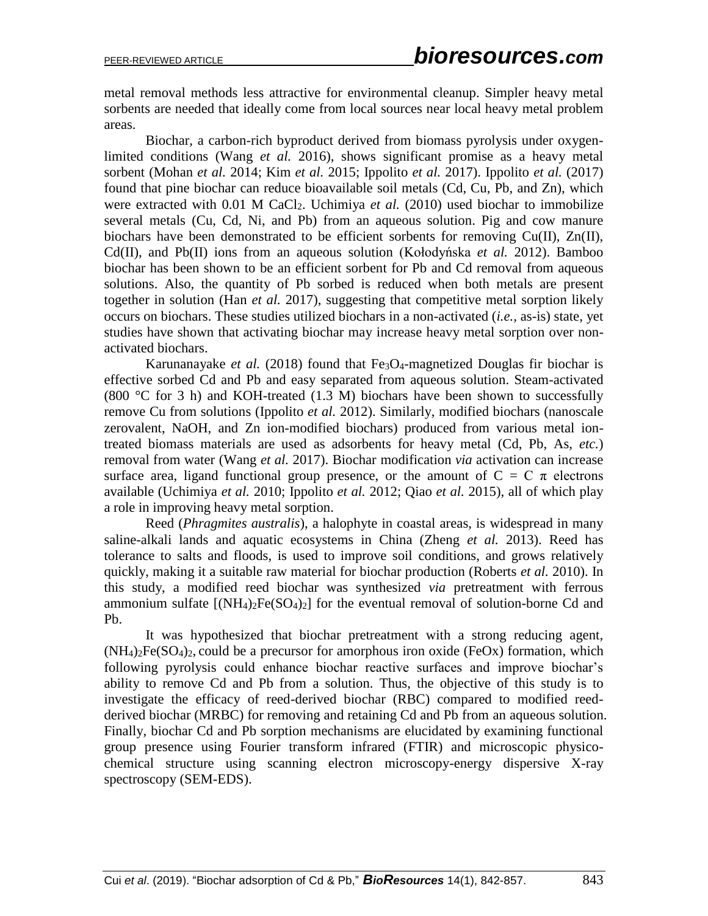metal removal methods less attractive for environmental cleanup. Simpler heavy metal sorbents are needed that ideally come from local sources near local heavy metal problem areas.

Biochar, a carbon-rich byproduct derived from biomass pyrolysis under oxygenlimited conditions (Wang *et al.* 2016), shows significant promise as a heavy metal sorbent (Mohan *et al.* 2014; Kim *et al.* 2015; Ippolito *et al.* 2017). Ippolito *et al.* (2017) found that pine biochar can reduce bioavailable soil metals (Cd, Cu, Pb, and Zn), which were extracted with 0.01 M CaCl<sub>2</sub>. Uchimiya *et al.* (2010) used biochar to immobilize several metals (Cu, Cd, Ni, and Pb) from an aqueous solution. Pig and cow manure biochars have been demonstrated to be efficient sorbents for removing Cu(II), Zn(II), Cd(II), and Pb(II) ions from an aqueous solution (Kołodyńska *et al.* 2012). Bamboo biochar has been shown to be an efficient sorbent for Pb and Cd removal from aqueous solutions. Also, the quantity of Pb sorbed is reduced when both metals are present together in solution (Han *et al.* 2017), suggesting that competitive metal sorption likely occurs on biochars. These studies utilized biochars in a non-activated (*i.e.,* as-is) state, yet studies have shown that activating biochar may increase heavy metal sorption over nonactivated biochars.

Karunanayake *et al.* (2018) found that Fe<sub>3</sub>O<sub>4</sub>-magnetized Douglas fir biochar is effective sorbed Cd and Pb and easy separated from aqueous solution. Steam-activated (800  $\degree$ C for 3 h) and KOH-treated (1.3 M) biochars have been shown to successfully remove Cu from solutions (Ippolito *et al.* 2012). Similarly, modified biochars (nanoscale zerovalent, NaOH, and Zn ion-modified biochars) produced from various metal iontreated biomass materials are used as adsorbents for heavy metal (Cd, Pb, As, *etc.*) removal from water (Wang *et al.* 2017). Biochar modification *via* activation can increase surface area, ligand functional group presence, or the amount of  $C = C \pi$  electrons available (Uchimiya *et al.* 2010; Ippolito *et al.* 2012; Qiao *et al.* 2015), all of which play a role in improving heavy metal sorption.

Reed (*Phragmites australis*), a halophyte in coastal areas, is widespread in many saline-alkali lands and aquatic ecosystems in China (Zheng *et al.* 2013). Reed has tolerance to salts and floods, is used to improve soil conditions, and grows relatively quickly, making it a suitable raw material for biochar production (Roberts *et al.* 2010). In this study, a modified reed biochar was synthesized *via* pretreatment with ferrous ammonium sulfate  $[(NH_4)_2Fe(SO_4)_2]$  for the eventual removal of solution-borne Cd and Pb.

It was hypothesized that biochar pretreatment with a strong reducing agent,  $(NH_4)_2Fe(SO_4)_2$ , could be a precursor for amorphous iron oxide (FeOx) formation, which following pyrolysis could enhance biochar reactive surfaces and improve biochar's ability to remove Cd and Pb from a solution. Thus, the objective of this study is to investigate the efficacy of reed-derived biochar (RBC) compared to modified reedderived biochar (MRBC) for removing and retaining Cd and Pb from an aqueous solution. Finally, biochar Cd and Pb sorption mechanisms are elucidated by examining functional group presence using Fourier transform infrared (FTIR) and microscopic physicochemical structure using scanning electron microscopy-energy dispersive X-ray spectroscopy (SEM-EDS).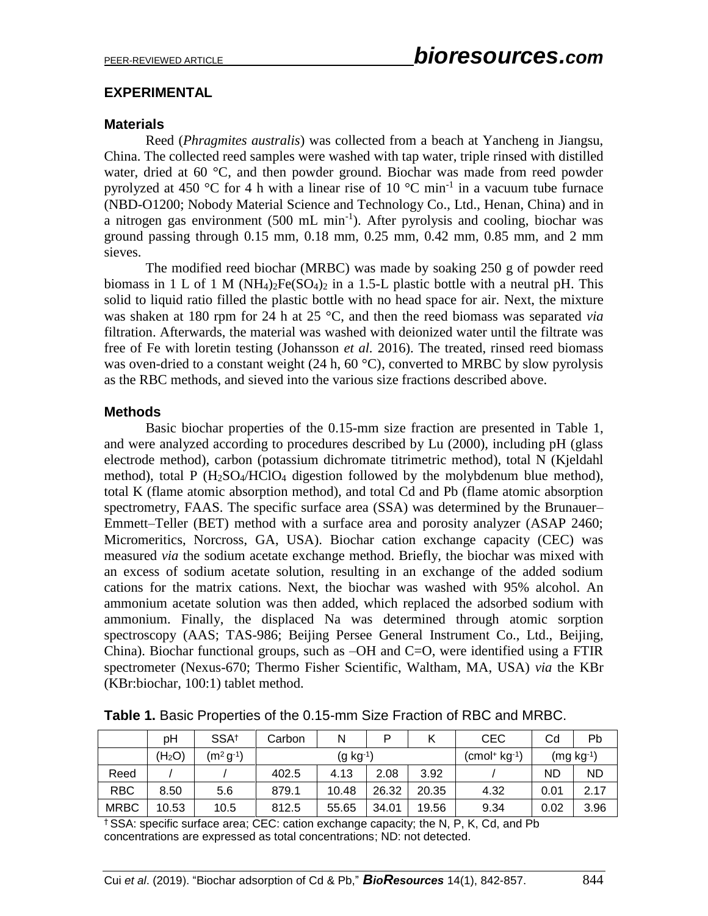#### **EXPERIMENTAL**

#### **Materials**

Reed (*Phragmites australis*) was collected from a beach at Yancheng in Jiangsu, China. The collected reed samples were washed with tap water, triple rinsed with distilled water, dried at 60 °C, and then powder ground. Biochar was made from reed powder pyrolyzed at 450 °C for 4 h with a linear rise of 10 °C min<sup>-1</sup> in a vacuum tube furnace (NBD-O1200; Nobody Material Science and Technology Co., Ltd., Henan, China) and in a nitrogen gas environment (500 mL min<sup>-1</sup>). After pyrolysis and cooling, biochar was ground passing through 0.15 mm, 0.18 mm, 0.25 mm, 0.42 mm, 0.85 mm, and 2 mm sieves.

The modified reed biochar (MRBC) was made by soaking 250 g of powder reed biomass in 1 L of 1 M ( $NH_4$ )<sub>2</sub>Fe( $SO_4$ )<sub>2</sub> in a 1.5-L plastic bottle with a neutral pH. This solid to liquid ratio filled the plastic bottle with no head space for air. Next, the mixture was shaken at 180 rpm for 24 h at 25 °C, and then the reed biomass was separated *via* filtration. Afterwards, the material was washed with deionized water until the filtrate was free of Fe with loretin testing (Johansson *et al.* 2016). The treated, rinsed reed biomass was oven-dried to a constant weight  $(24 \text{ h}, 60 \degree \text{C})$ , converted to MRBC by slow pyrolysis as the RBC methods, and sieved into the various size fractions described above.

#### **Methods**

Basic biochar properties of the 0.15-mm size fraction are presented in Table 1, and were analyzed according to procedures described by Lu (2000), including pH (glass electrode method), carbon (potassium dichromate titrimetric method), total N (Kjeldahl method), total P  $(H_2SO_4/HClO_4$  digestion followed by the molybdenum blue method), total K (flame atomic absorption method), and total Cd and Pb (flame atomic absorption spectrometry, FAAS. The specific surface area (SSA) was determined by the Brunauer– Emmett–Teller (BET) method with a surface area and porosity analyzer (ASAP 2460; Micromeritics, Norcross, GA, USA). Biochar cation exchange capacity (CEC) was measured *via* the sodium acetate exchange method. Briefly, the biochar was mixed with an excess of sodium acetate solution, resulting in an exchange of the added sodium cations for the matrix cations. Next, the biochar was washed with 95% alcohol. An ammonium acetate solution was then added, which replaced the adsorbed sodium with ammonium. Finally, the displaced Na was determined through atomic sorption spectroscopy (AAS; TAS-986; Beijing Persee General Instrument Co., Ltd., Beijing, China). Biochar functional groups, such as  $-OH$  and  $C=O$ , were identified using a FTIR spectrometer (Nexus-670; Thermo Fisher Scientific, Waltham, MA, USA) *via* the KBr (KBr:biochar, 100:1) tablet method.

|             | pH                 | SSA <sup>+</sup> | Carbon     | N     | Þ     |                | <b>CEC</b>  | Cd        | Pb        |
|-------------|--------------------|------------------|------------|-------|-------|----------------|-------------|-----------|-----------|
|             | (H <sub>2</sub> O) | $(m2 g-1)$       | $(g kg-1)$ |       |       | $(cmol+ kg-1)$ | $(mg kg-1)$ |           |           |
| Reed        |                    |                  | 402.5      | 4.13  | 2.08  | 3.92           |             | <b>ND</b> | <b>ND</b> |
| <b>RBC</b>  | 8.50               | 5.6              | 879.1      | 10.48 | 26.32 | 20.35          | 4.32        | 0.01      | 2.17      |
| <b>MRBC</b> | 10.53              | 10.5             | 812.5      | 55.65 | 34.01 | 19.56          | 9.34        | 0.02      | 3.96      |

**Table 1.** Basic Properties of the 0.15-mm Size Fraction of RBC and MRBC.

† SSA: specific surface area; CEC: cation exchange capacity; the N, P, K, Cd, and Pb concentrations are expressed as total concentrations; ND: not detected.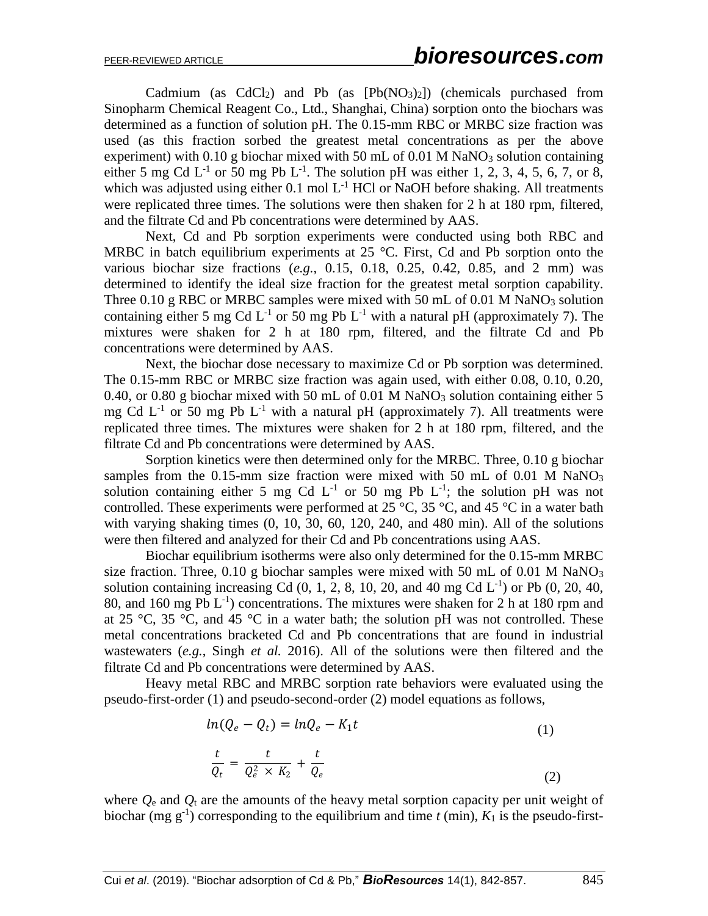Cadmium (as  $CdCl<sub>2</sub>$ ) and Pb (as  $[Pb(NO<sub>3</sub>)<sub>2</sub>]$ ) (chemicals purchased from Sinopharm Chemical Reagent Co., Ltd., Shanghai, China) sorption onto the biochars was determined as a function of solution pH. The 0.15-mm RBC or MRBC size fraction was used (as this fraction sorbed the greatest metal concentrations as per the above experiment) with  $0.10$  g biochar mixed with 50 mL of  $0.01$  M NaNO<sub>3</sub> solution containing either 5 mg Cd  $L^{-1}$  or 50 mg Pb  $L^{-1}$ . The solution pH was either 1, 2, 3, 4, 5, 6, 7, or 8, which was adjusted using either 0.1 mol  $L^{-1}$  HCl or NaOH before shaking. All treatments were replicated three times. The solutions were then shaken for 2 h at 180 rpm, filtered, and the filtrate Cd and Pb concentrations were determined by AAS.

Next, Cd and Pb sorption experiments were conducted using both RBC and MRBC in batch equilibrium experiments at  $25^{\circ}$ C. First, Cd and Pb sorption onto the various biochar size fractions (*e.g.*, 0.15, 0.18, 0.25, 0.42, 0.85, and 2 mm) was determined to identify the ideal size fraction for the greatest metal sorption capability. Three  $0.10 \text{ g RBC}$  or MRBC samples were mixed with 50 mL of  $0.01 \text{ M NaNO}_3$  solution containing either 5 mg Cd  $L^{-1}$  or 50 mg Pb  $L^{-1}$  with a natural pH (approximately 7). The mixtures were shaken for 2 h at 180 rpm, filtered, and the filtrate Cd and Pb concentrations were determined by AAS.

Next, the biochar dose necessary to maximize Cd or Pb sorption was determined. The 0.15-mm RBC or MRBC size fraction was again used, with either 0.08, 0.10, 0.20, 0.40, or 0.80 g biochar mixed with 50 mL of 0.01 M NaNO<sub>3</sub> solution containing either 5 mg Cd  $L^{-1}$  or 50 mg Pb  $L^{-1}$  with a natural pH (approximately 7). All treatments were replicated three times. The mixtures were shaken for 2 h at 180 rpm, filtered, and the filtrate Cd and Pb concentrations were determined by AAS.

Sorption kinetics were then determined only for the MRBC. Three, 0.10 g biochar samples from the  $0.15$ -mm size fraction were mixed with 50 mL of  $0.01$  M NaNO<sub>3</sub> solution containing either 5 mg Cd  $L^{-1}$  or 50 mg Pb  $L^{-1}$ ; the solution pH was not controlled. These experiments were performed at 25 °C, 35 °C, and 45 °C in a water bath with varying shaking times  $(0, 10, 30, 60, 120, 240,$  and  $480$  min). All of the solutions were then filtered and analyzed for their Cd and Pb concentrations using AAS.

Biochar equilibrium isotherms were also only determined for the 0.15-mm MRBC size fraction. Three, 0.10 g biochar samples were mixed with 50 mL of 0.01 M NaNO<sub>3</sub> solution containing increasing Cd (0, 1, 2, 8, 10, 20, and 40 mg Cd L-1 ) or Pb (0, 20, 40, 80, and 160 mg Pb  $L^{-1}$ ) concentrations. The mixtures were shaken for 2 h at 180 rpm and at 25 °C, 35 °C, and 45 °C in a water bath; the solution pH was not controlled. These metal concentrations bracketed Cd and Pb concentrations that are found in industrial wastewaters (*e.g.*, Singh *et al.* 2016). All of the solutions were then filtered and the filtrate Cd and Pb concentrations were determined by AAS.

Heavy metal RBC and MRBC sorption rate behaviors were evaluated using the pseudo-first-order (1) and pseudo-second-order (2) model equations as follows,

$$
ln(Q_e - Q_t) = lnQ_e - K_1t
$$
  
\n
$$
\frac{t}{Q_t} = \frac{t}{Q_e^2 \times K_2} + \frac{t}{Q_e}
$$
 (1)

where  $Q_{\rm e}$  and  $Q_{\rm t}$  are the amounts of the heavy metal sorption capacity per unit weight of biochar (mg  $g^{-1}$ ) corresponding to the equilibrium and time *t* (min),  $K_1$  is the pseudo-first-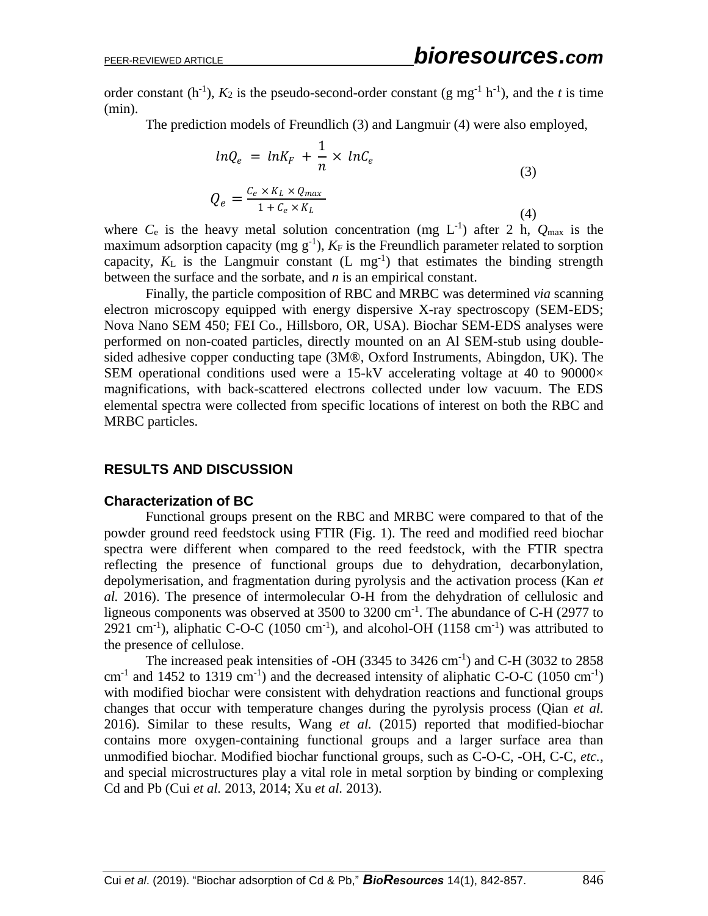order constant  $(h^{-1})$ ,  $K_2$  is the pseudo-second-order constant (g mg<sup>-1</sup>  $h^{-1}$ ), and the *t* is time (min).

The prediction models of Freundlich (3) and Langmuir (4) were also employed,

$$
ln Q_e = ln K_F + \frac{1}{n} \times ln C_e
$$
  
\n
$$
Q_e = \frac{C_e \times K_L \times Q_{max}}{1 + C_e \times K_L}
$$
\n(3)

where  $C_e$  is the heavy metal solution concentration (mg  $L^{-1}$ ) after 2 h,  $Q_{\text{max}}$  is the maximum adsorption capacity (mg  $g^{-1}$ ),  $K_F$  is the Freundlich parameter related to sorption capacity,  $K_L$  is the Langmuir constant  $(L mg^{-1})$  that estimates the binding strength between the surface and the sorbate, and *n* is an empirical constant.

Finally, the particle composition of RBC and MRBC was determined *via* scanning electron microscopy equipped with energy dispersive X-ray spectroscopy (SEM-EDS; Nova Nano SEM 450; FEI Co., Hillsboro, OR, USA). Biochar SEM-EDS analyses were performed on non-coated particles, directly mounted on an Al SEM-stub using doublesided adhesive copper conducting tape (3M®, Oxford Instruments, Abingdon, UK). The SEM operational conditions used were a 15-kV accelerating voltage at 40 to  $90000\times$ magnifications, with back-scattered electrons collected under low vacuum. The EDS elemental spectra were collected from specific locations of interest on both the RBC and MRBC particles.

## **RESULTS AND DISCUSSION**

#### **Characterization of BC**

Functional groups present on the RBC and MRBC were compared to that of the powder ground reed feedstock using FTIR (Fig. 1). The reed and modified reed biochar spectra were different when compared to the reed feedstock, with the FTIR spectra reflecting the presence of functional groups due to dehydration, decarbonylation, depolymerisation, and fragmentation during pyrolysis and the activation process (Kan *et al.* 2016). The presence of intermolecular O-H from the dehydration of cellulosic and ligneous components was observed at 3500 to 3200 cm<sup>-1</sup>. The abundance of C-H (2977 to 2921 cm<sup>-1</sup>), aliphatic C-O-C (1050 cm<sup>-1</sup>), and alcohol-OH (1158 cm<sup>-1</sup>) was attributed to the presence of cellulose.

The increased peak intensities of -OH  $(3345 \text{ to } 3426 \text{ cm}^{-1})$  and C-H  $(3032 \text{ to } 2858$ cm<sup>-1</sup> and 1452 to 1319 cm<sup>-1</sup>) and the decreased intensity of aliphatic C-O-C (1050 cm<sup>-1</sup>) with modified biochar were consistent with dehydration reactions and functional groups changes that occur with temperature changes during the pyrolysis process (Qian *et al.* 2016). Similar to these results, Wang *et al.* (2015) reported that modified-biochar contains more oxygen-containing functional groups and a larger surface area than unmodified biochar. Modified biochar functional groups, such as C-O-C, -OH, C-C, *etc.*, and special microstructures play a vital role in metal sorption by binding or complexing Cd and Pb (Cui *et al.* 2013, 2014; Xu *et al.* 2013).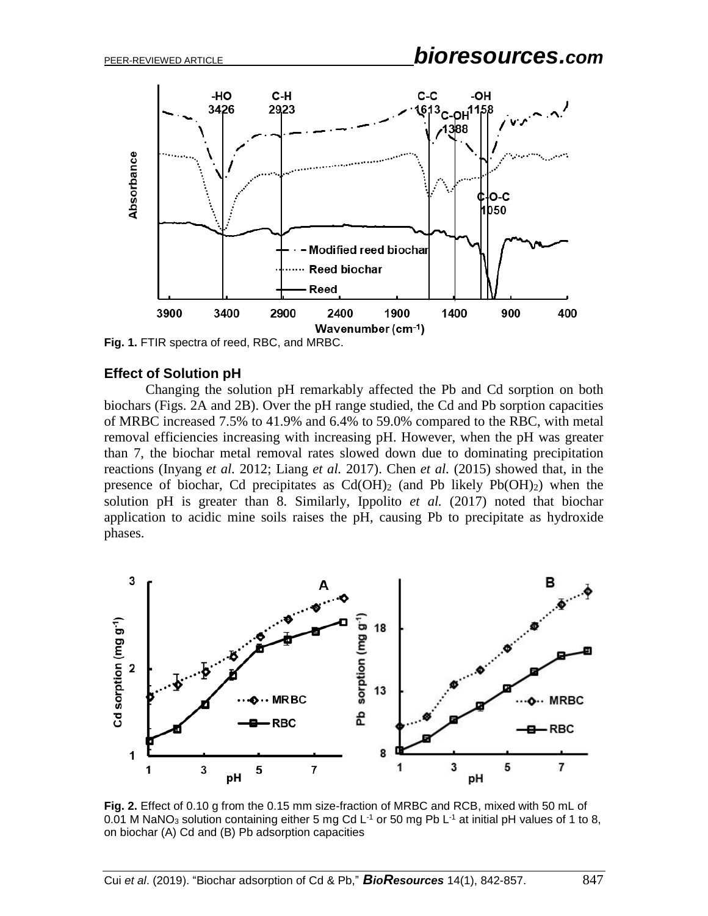

**Fig. 1.** FTIR spectra of reed, RBC, and MRBC.

#### **Effect of Solution pH**

Changing the solution pH remarkably affected the Pb and Cd sorption on both biochars (Figs. 2A and 2B). Over the pH range studied, the Cd and Pb sorption capacities of MRBC increased 7.5% to 41.9% and 6.4% to 59.0% compared to the RBC, with metal removal efficiencies increasing with increasing pH. However, when the pH was greater than 7, the biochar metal removal rates slowed down due to dominating precipitation reactions (Inyang *et al.* 2012; Liang *et al.* 2017). Chen *et al.* (2015) showed that, in the presence of biochar, Cd precipitates as  $Cd(OH)_2$  (and Pb likely Pb $(OH)_2$ ) when the solution pH is greater than 8. Similarly, Ippolito *et al.* (2017) noted that biochar application to acidic mine soils raises the pH, causing Pb to precipitate as hydroxide phases.



**Fig. 2.** Effect of 0.10 g from the 0.15 mm size-fraction of MRBC and RCB, mixed with 50 mL of 0.01 M NaNO<sub>3</sub> solution containing either 5 mg Cd L<sup>-1</sup> or 50 mg Pb L<sup>-1</sup> at initial pH values of 1 to 8, on biochar (A) Cd and (B) Pb adsorption capacities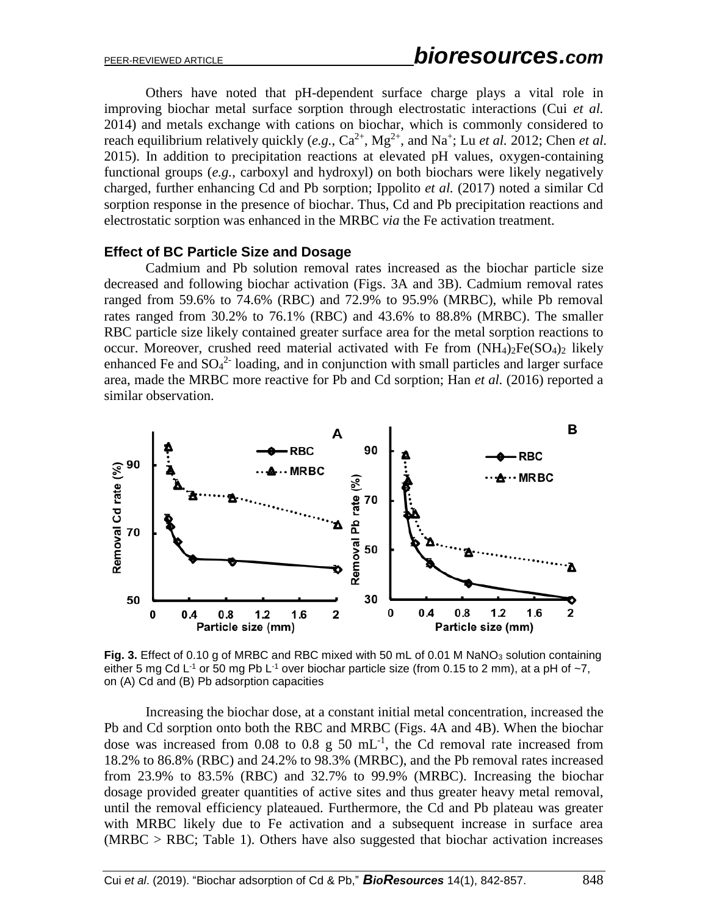Others have noted that pH-dependent surface charge plays a vital role in improving biochar metal surface sorption through electrostatic interactions (Cui *et al.* 2014) and metals exchange with cations on biochar, which is commonly considered to reach equilibrium relatively quickly  $(e.g., Ca^{2+}, Mg^{2+}, and Na^+; Lu *et al.* 2012; Chen *et al.*$ 2015). In addition to precipitation reactions at elevated pH values, oxygen-containing functional groups (*e.g.*, carboxyl and hydroxyl) on both biochars were likely negatively charged, further enhancing Cd and Pb sorption; Ippolito *et al.* (2017) noted a similar Cd sorption response in the presence of biochar. Thus, Cd and Pb precipitation reactions and electrostatic sorption was enhanced in the MRBC *via* the Fe activation treatment.

#### **Effect of BC Particle Size and Dosage**

Cadmium and Pb solution removal rates increased as the biochar particle size decreased and following biochar activation (Figs. 3A and 3B). Cadmium removal rates ranged from 59.6% to 74.6% (RBC) and 72.9% to 95.9% (MRBC), while Pb removal rates ranged from 30.2% to 76.1% (RBC) and 43.6% to 88.8% (MRBC). The smaller RBC particle size likely contained greater surface area for the metal sorption reactions to occur. Moreover, crushed reed material activated with Fe from  $(NH_4)_2Fe(SO_4)_2$  likely enhanced Fe and  $SO_4^2$ -loading, and in conjunction with small particles and larger surface area, made the MRBC more reactive for Pb and Cd sorption; Han *et al.* (2016) reported a similar observation.



Fig. 3. Effect of 0.10 g of MRBC and RBC mixed with 50 mL of 0.01 M NaNO<sub>3</sub> solution containing either 5 mg Cd L<sup>-1</sup> or 50 mg Pb L<sup>-1</sup> over biochar particle size (from 0.15 to 2 mm), at a pH of  $\sim$ 7, on (A) Cd and (B) Pb adsorption capacities

Increasing the biochar dose, at a constant initial metal concentration, increased the Pb and Cd sorption onto both the RBC and MRBC (Figs. 4A and 4B). When the biochar dose was increased from 0.08 to 0.8 g 50  $mL^{-1}$ , the Cd removal rate increased from 18.2% to 86.8% (RBC) and 24.2% to 98.3% (MRBC), and the Pb removal rates increased from 23.9% to 83.5% (RBC) and 32.7% to 99.9% (MRBC). Increasing the biochar dosage provided greater quantities of active sites and thus greater heavy metal removal, until the removal efficiency plateaued. Furthermore, the Cd and Pb plateau was greater with MRBC likely due to Fe activation and a subsequent increase in surface area (MRBC > RBC; Table 1). Others have also suggested that biochar activation increases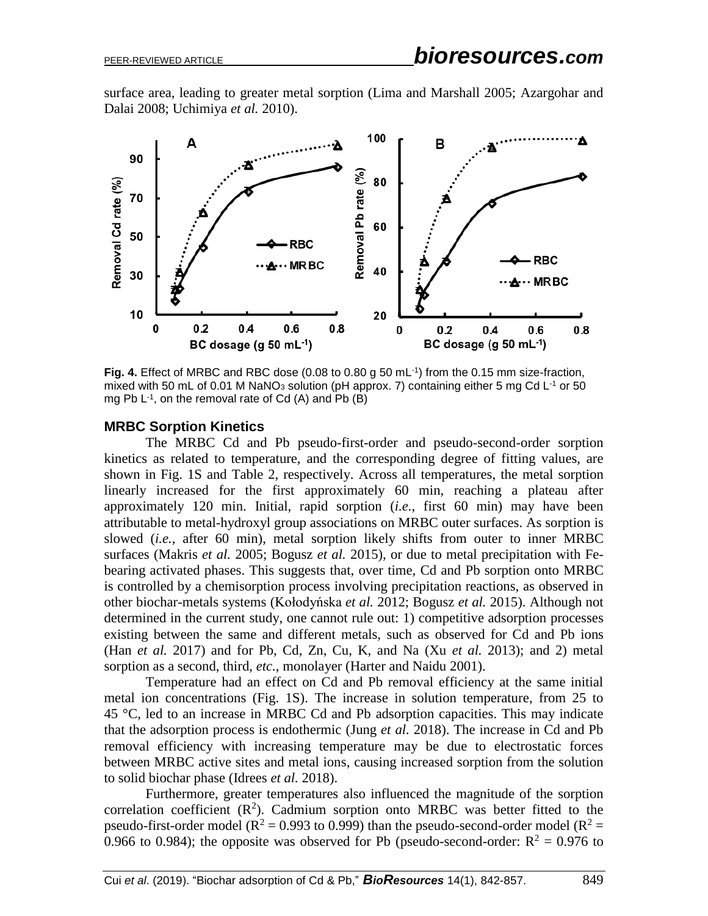surface area, leading to greater metal sorption (Lima and Marshall 2005; Azargohar and Dalai 2008; Uchimiya *et al.* 2010).



**Fig. 4.** Effect of MRBC and RBC dose (0.08 to 0.80 g 50 mL-1 ) from the 0.15 mm size-fraction, mixed with 50 mL of 0.01 M NaNO<sub>3</sub> solution (pH approx. 7) containing either 5 mg Cd L<sup>-1</sup> or 50 mg Pb  $L^{-1}$ , on the removal rate of Cd (A) and Pb (B)

## **MRBC Sorption Kinetics**

The MRBC Cd and Pb pseudo-first-order and pseudo-second-order sorption kinetics as related to temperature, and the corresponding degree of fitting values, are shown in Fig. 1S and Table 2, respectively. Across all temperatures, the metal sorption linearly increased for the first approximately 60 min, reaching a plateau after approximately 120 min. Initial, rapid sorption (*i.e.*, first 60 min) may have been attributable to metal-hydroxyl group associations on MRBC outer surfaces. As sorption is slowed (*i.e.*, after 60 min), metal sorption likely shifts from outer to inner MRBC surfaces (Makris *et al.* 2005; Bogusz *et al.* 2015), or due to metal precipitation with Febearing activated phases. This suggests that, over time, Cd and Pb sorption onto MRBC is controlled by a chemisorption process involving precipitation reactions, as observed in other biochar-metals systems (Kołodyńska *et al.* 2012; Bogusz *et al.* 2015). Although not determined in the current study, one cannot rule out: 1) competitive adsorption processes existing between the same and different metals, such as observed for Cd and Pb ions (Han *et al.* 2017) and for Pb, Cd, Zn, Cu, K, and Na (Xu *et al.* 2013); and 2) metal sorption as a second, third, *etc.*, monolayer (Harter and Naidu 2001).

Temperature had an effect on Cd and Pb removal efficiency at the same initial metal ion concentrations (Fig. 1S). The increase in solution temperature, from 25 to 45 °C, led to an increase in MRBC Cd and Pb adsorption capacities. This may indicate that the adsorption process is endothermic (Jung *et al.* 2018). The increase in Cd and Pb removal efficiency with increasing temperature may be due to electrostatic forces between MRBC active sites and metal ions, causing increased sorption from the solution to solid biochar phase (Idrees *et al.* 2018).

Furthermore, greater temperatures also influenced the magnitude of the sorption correlation coefficient  $(R^2)$ . Cadmium sorption onto MRBC was better fitted to the pseudo-first-order model ( $\overline{R}^2 = 0.993$  to 0.999) than the pseudo-second-order model ( $\overline{R}^2 =$ 0.966 to 0.984); the opposite was observed for Pb (pseudo-second-order:  $R^2 = 0.976$  to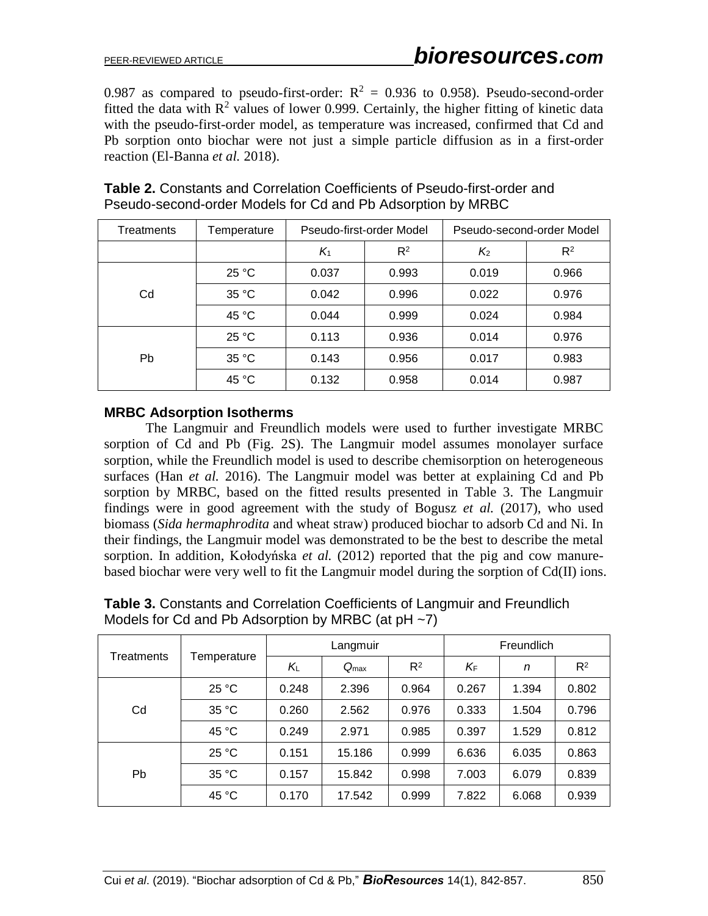0.987 as compared to pseudo-first-order:  $R^2 = 0.936$  to 0.958). Pseudo-second-order fitted the data with  $\mathbb{R}^2$  values of lower 0.999. Certainly, the higher fitting of kinetic data with the pseudo-first-order model, as temperature was increased, confirmed that Cd and Pb sorption onto biochar were not just a simple particle diffusion as in a first-order reaction (El-Banna *et al.* 2018).

| Treatments | Temperature |       | Pseudo-first-order Model | Pseudo-second-order Model |       |  |
|------------|-------------|-------|--------------------------|---------------------------|-------|--|
|            |             | $K_1$ | $R^2$                    | $K_{2}$                   | $R^2$ |  |
|            | 25 °C       | 0.037 | 0.993                    | 0.019                     | 0.966 |  |
| Cd         | 35 °C       | 0.042 | 0.996                    | 0.022                     | 0.976 |  |
|            | 45 °C       | 0.044 | 0.999                    | 0.024                     | 0.984 |  |
|            | 25 °C       | 0.113 | 0.936                    | 0.014                     | 0.976 |  |
| Pb.        | 35 °C       | 0.143 | 0.956                    | 0.017                     | 0.983 |  |
|            | 45 °C       | 0.132 | 0.958                    | 0.014                     | 0.987 |  |

## **Table 2.** Constants and Correlation Coefficients of Pseudo-first-order and Pseudo-second-order Models for Cd and Pb Adsorption by MRBC

## **MRBC Adsorption Isotherms**

The Langmuir and Freundlich models were used to further investigate MRBC sorption of Cd and Pb (Fig. 2S). The Langmuir model assumes monolayer surface sorption, while the Freundlich model is used to describe chemisorption on heterogeneous surfaces (Han *et al.* 2016). The Langmuir model was better at explaining Cd and Pb sorption by MRBC, based on the fitted results presented in Table 3. The Langmuir findings were in good agreement with the study of Bogusz *et al.* (2017), who used biomass (*Sida hermaphrodita* and wheat straw) produced biochar to adsorb Cd and Ni. In their findings, the Langmuir model was demonstrated to be the best to describe the metal sorption. In addition, Kołodyńska *et al.* (2012) reported that the pig and cow manurebased biochar were very well to fit the Langmuir model during the sorption of Cd(II) ions.

| Treatments | Temperature |       | Langmuir         |       | Freundlich |       |       |  |
|------------|-------------|-------|------------------|-------|------------|-------|-------|--|
|            |             | KL    | $Q_{\text{max}}$ | $R^2$ | ΚF         | n     | $R^2$ |  |
| Cd         | 25 °C       | 0.248 | 2.396            | 0.964 | 0.267      | 1.394 | 0.802 |  |
|            | 35 °C       | 0.260 | 2.562            | 0.976 | 0.333      | 1.504 | 0.796 |  |
|            | 45 °C       | 0.249 | 2.971            | 0.985 | 0.397      | 1.529 | 0.812 |  |
|            | 25 °C       | 0.151 | 15.186           | 0.999 | 6.636      | 6.035 | 0.863 |  |
| <b>Pb</b>  | 35 °C       | 0.157 | 15.842           | 0.998 | 7.003      | 6.079 | 0.839 |  |
|            | 45 °C       | 0.170 | 17.542           | 0.999 | 7.822      | 6.068 | 0.939 |  |

**Table 3.** Constants and Correlation Coefficients of Langmuir and Freundlich Models for Cd and Pb Adsorption by MRBC (at pH ~7)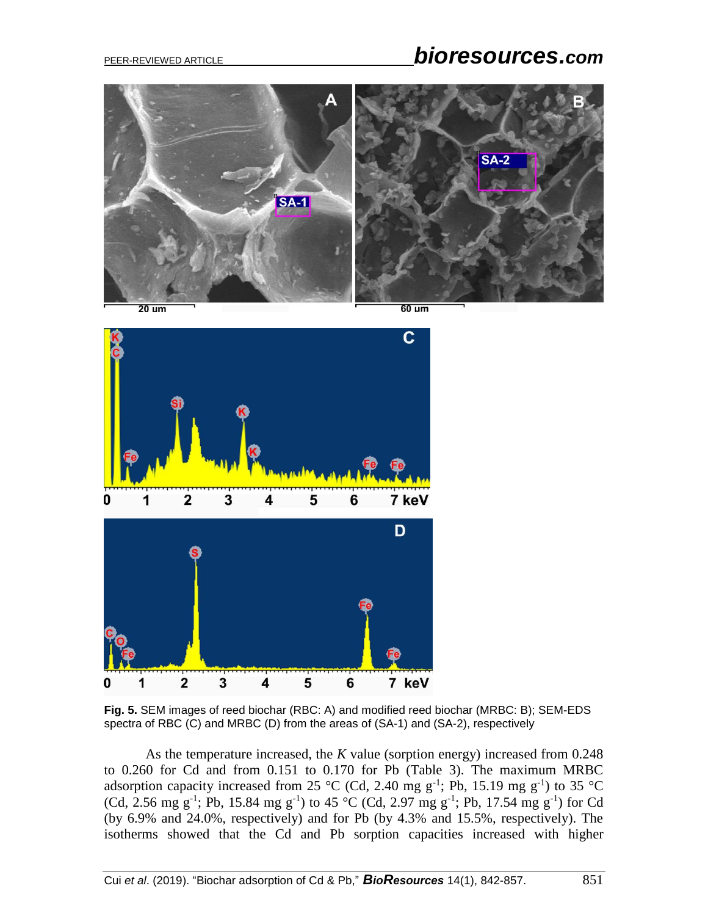# PEER-REVIEWED ARTICLE *bioresources.com*



 $\mathbf c$ 1  $\overline{\mathbf{2}}$ 3 5 7 keV n 4 6 D  $\overline{2}$  $\overline{\mathbf{3}}$ 1 4 5 6 7 keV 0

**Fig. 5.** SEM images of reed biochar (RBC: A) and modified reed biochar (MRBC: B); SEM-EDS spectra of RBC (C) and MRBC (D) from the areas of (SA-1) and (SA-2), respectively

As the temperature increased, the *K* value (sorption energy) increased from 0.248 to 0.260 for Cd and from 0.151 to 0.170 for Pb (Table 3). The maximum MRBC adsorption capacity increased from 25 °C (Cd, 2.40 mg  $g^{-1}$ ; Pb, 15.19 mg  $g^{-1}$ ) to 35 °C (Cd, 2.56 mg g<sup>-1</sup>; Pb, 15.84 mg g<sup>-1</sup>) to 45 °C (Cd, 2.97 mg g<sup>-1</sup>; Pb, 17.54 mg g<sup>-1</sup>) for Cd (by 6.9% and 24.0%, respectively) and for Pb (by 4.3% and 15.5%, respectively). The isotherms showed that the Cd and Pb sorption capacities increased with higher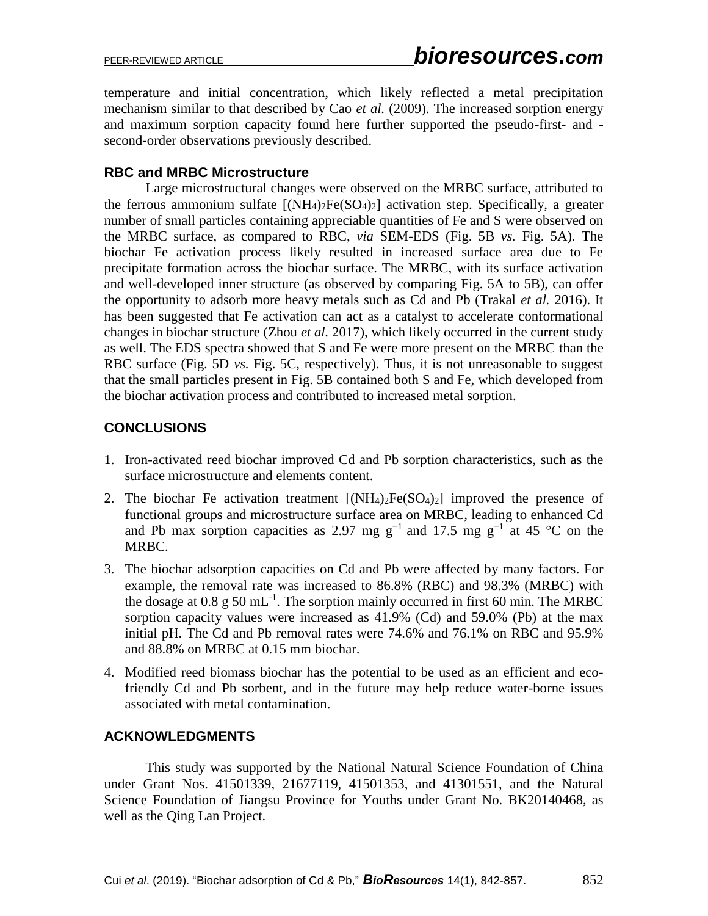temperature and initial concentration, which likely reflected a metal precipitation mechanism similar to that described by Cao *et al.* (2009). The increased sorption energy and maximum sorption capacity found here further supported the pseudo-first- and second-order observations previously described.

## **RBC and MRBC Microstructure**

Large microstructural changes were observed on the MRBC surface, attributed to the ferrous ammonium sulfate  $[(NH_4)_2Fe(SO_4)_2]$  activation step. Specifically, a greater number of small particles containing appreciable quantities of Fe and S were observed on the MRBC surface, as compared to RBC, *via* SEM-EDS (Fig. 5B *vs.* Fig. 5A). The biochar Fe activation process likely resulted in increased surface area due to Fe precipitate formation across the biochar surface. The MRBC, with its surface activation and well-developed inner structure (as observed by comparing Fig. 5A to 5B), can offer the opportunity to adsorb more heavy metals such as Cd and Pb (Trakal *et al.* 2016). It has been suggested that Fe activation can act as a catalyst to accelerate conformational changes in biochar structure (Zhou *et al.* 2017), which likely occurred in the current study as well. The EDS spectra showed that S and Fe were more present on the MRBC than the RBC surface (Fig. 5D *vs.* Fig. 5C, respectively). Thus, it is not unreasonable to suggest that the small particles present in Fig. 5B contained both S and Fe, which developed from the biochar activation process and contributed to increased metal sorption.

# **CONCLUSIONS**

- 1. Iron-activated reed biochar improved Cd and Pb sorption characteristics, such as the surface microstructure and elements content.
- 2. The biochar Fe activation treatment  $[(NH<sub>4</sub>)<sub>2</sub>Fe(SO<sub>4</sub>)<sub>2</sub>]$  improved the presence of functional groups and microstructure surface area on MRBC, leading to enhanced Cd and Pb max sorption capacities as 2.97 mg g<sup>-1</sup> and 17.5 mg g<sup>-1</sup> at 45 °C on the MRBC.
- 3. The biochar adsorption capacities on Cd and Pb were affected by many factors. For example, the removal rate was increased to 86.8% (RBC) and 98.3% (MRBC) with the dosage at 0.8 g 50 mL<sup>-1</sup>. The sorption mainly occurred in first 60 min. The MRBC sorption capacity values were increased as 41.9% (Cd) and 59.0% (Pb) at the max initial pH. The Cd and Pb removal rates were 74.6% and 76.1% on RBC and 95.9% and 88.8% on MRBC at 0.15 mm biochar.
- 4. Modified reed biomass biochar has the potential to be used as an efficient and ecofriendly Cd and Pb sorbent, and in the future may help reduce water-borne issues associated with metal contamination.

# **ACKNOWLEDGMENTS**

This study was supported by the National Natural Science Foundation of China under Grant Nos. 41501339, 21677119, 41501353, and 41301551, and the Natural Science Foundation of Jiangsu Province for Youths under Grant No. BK20140468, as well as the Qing Lan Project.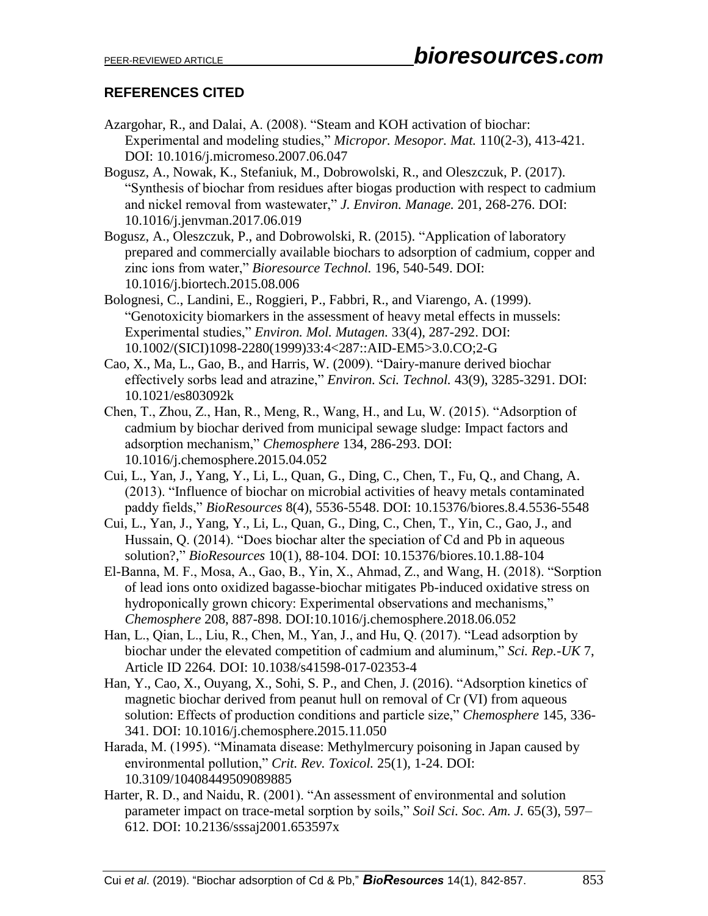# **REFERENCES CITED**

- Azargohar, R., and Dalai, A. (2008). "Steam and KOH activation of biochar: Experimental and modeling studies," *Micropor. Mesopor. Mat.* 110(2-3), 413-421. DOI: 10.1016/j.micromeso.2007.06.047
- Bogusz, A., Nowak, K., Stefaniuk, M., Dobrowolski, R., and Oleszczuk, P. (2017). "Synthesis of biochar from residues after biogas production with respect to cadmium and nickel removal from wastewater," *J. Environ. Manage.* 201, 268-276. DOI: 10.1016/j.jenvman.2017.06.019
- Bogusz, A., Oleszczuk, P., and Dobrowolski, R. (2015). "Application of laboratory prepared and commercially available biochars to adsorption of cadmium, copper and zinc ions from water," *Bioresource Technol.* 196, 540-549. DOI: 10.1016/j.biortech.2015.08.006
- Bolognesi, C., Landini, E., Roggieri, P., Fabbri, R., and Viarengo, A. (1999). "Genotoxicity biomarkers in the assessment of heavy metal effects in mussels: Experimental studies," *Environ. Mol. Mutagen.* 33(4), 287-292. DOI: 10.1002/(SICI)1098-2280(1999)33:4<287::AID-EM5>3.0.CO;2-G
- Cao, X., Ma, L., Gao, B., and Harris, W. (2009). "Dairy-manure derived biochar effectively sorbs lead and atrazine," *Environ. Sci. Technol.* 43(9), 3285-3291. DOI: 10.1021/es803092k
- Chen, T., Zhou, Z., Han, R., Meng, R., Wang, H., and Lu, W. (2015). "Adsorption of cadmium by biochar derived from municipal sewage sludge: Impact factors and adsorption mechanism," *Chemosphere* 134, 286-293. DOI: 10.1016/j.chemosphere.2015.04.052
- Cui, L., Yan, J., Yang, Y., Li, L., Quan, G., Ding, C., Chen, T., Fu, Q., and Chang, A. (2013). "Influence of biochar on microbial activities of heavy metals contaminated paddy fields," *BioResources* 8(4), 5536-5548. DOI: 10.15376/biores.8.4.5536-5548
- Cui, L., Yan, J., Yang, Y., Li, L., Quan, G., Ding, C., Chen, T., Yin, C., Gao, J., and Hussain, Q. (2014). "Does biochar alter the speciation of Cd and Pb in aqueous solution?," *BioResources* 10(1), 88-104. DOI: 10.15376/biores.10.1.88-104
- El-Banna, M. F., Mosa, A., Gao, B., Yin, X., Ahmad, Z., and Wang, H. (2018). "Sorption of lead ions onto oxidized bagasse-biochar mitigates Pb-induced oxidative stress on hydroponically grown chicory: Experimental observations and mechanisms," *Chemosphere* 208, 887-898. DOI:10.1016/j.chemosphere.2018.06.052
- Han, L., Qian, L., Liu, R., Chen, M., Yan, J., and Hu, Q. (2017). "Lead adsorption by biochar under the elevated competition of cadmium and aluminum," *Sci. Rep.-UK* 7, Article ID 2264. DOI: 10.1038/s41598-017-02353-4
- Han, Y., Cao, X., Ouyang, X., Sohi, S. P., and Chen, J. (2016). "Adsorption kinetics of magnetic biochar derived from peanut hull on removal of Cr (VI) from aqueous solution: Effects of production conditions and particle size," *Chemosphere* 145, 336- 341. DOI: 10.1016/j.chemosphere.2015.11.050
- Harada, M. (1995). "Minamata disease: Methylmercury poisoning in Japan caused by environmental pollution," *Crit. Rev. Toxicol.* 25(1), 1-24. DOI: 10.3109/10408449509089885
- Harter, R. D., and Naidu, R. (2001). "An assessment of environmental and solution parameter impact on trace-metal sorption by soils," *Soil Sci. Soc. Am. J.* 65(3), 597– 612. DOI: 10.2136/sssaj2001.653597x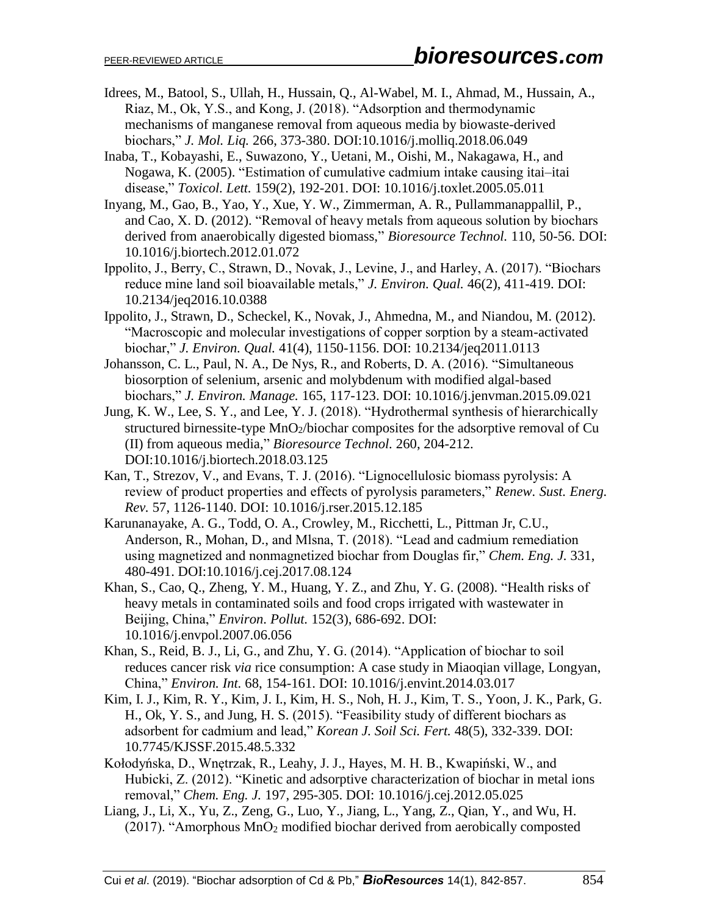- Idrees, M., Batool, S., Ullah, H., Hussain, Q., Al-Wabel, M. I., Ahmad, M., Hussain, A., Riaz, M., Ok, Y.S., and Kong, J. (2018). "Adsorption and thermodynamic mechanisms of manganese removal from aqueous media by biowaste-derived biochars," *J. Mol. Liq.* 266, 373-380. DOI:10.1016/j.molliq.2018.06.049
- Inaba, T., Kobayashi, E., Suwazono, Y., Uetani, M., Oishi, M., Nakagawa, H., and Nogawa, K. (2005). "Estimation of cumulative cadmium intake causing itai–itai disease," *Toxicol. Lett.* 159(2), 192-201. DOI: 10.1016/j.toxlet.2005.05.011
- Inyang, M., Gao, B., Yao, Y., Xue, Y. W., Zimmerman, A. R., Pullammanappallil, P., and Cao, X. D. (2012). "Removal of heavy metals from aqueous solution by biochars derived from anaerobically digested biomass," *Bioresource Technol.* 110, 50-56. DOI: 10.1016/j.biortech.2012.01.072
- Ippolito, J., Berry, C., Strawn, D., Novak, J., Levine, J., and Harley, A. (2017). "Biochars reduce mine land soil bioavailable metals," *J. Environ. Qual.* 46(2), 411-419. DOI: 10.2134/jeq2016.10.0388
- Ippolito, J., Strawn, D., Scheckel, K., Novak, J., Ahmedna, M., and Niandou, M. (2012). "Macroscopic and molecular investigations of copper sorption by a steam-activated biochar," *J. Environ. Qual.* 41(4), 1150-1156. DOI: 10.2134/jeq2011.0113
- Johansson, C. L., Paul, N. A., De Nys, R., and Roberts, D. A. (2016). "Simultaneous biosorption of selenium, arsenic and molybdenum with modified algal-based biochars," *J. Environ. Manage.* 165, 117-123. DOI: 10.1016/j.jenvman.2015.09.021
- Jung, K. W., Lee, S. Y., and Lee, Y. J. (2018). "Hydrothermal synthesis of hierarchically structured birnessite-type MnO2/biochar composites for the adsorptive removal of Cu (II) from aqueous media," *Bioresource Technol.* 260, 204-212. DOI:10.1016/j.biortech.2018.03.125
- Kan, T., Strezov, V., and Evans, T. J. (2016). "Lignocellulosic biomass pyrolysis: A review of product properties and effects of pyrolysis parameters," *Renew. Sust. Energ. Rev.* 57, 1126-1140. DOI: 10.1016/j.rser.2015.12.185
- Karunanayake, A. G., Todd, O. A., Crowley, M., Ricchetti, L., Pittman Jr, C.U., Anderson, R., Mohan, D., and Mlsna, T. (2018). "Lead and cadmium remediation using magnetized and nonmagnetized biochar from Douglas fir," *Chem. Eng. J.* 331, 480-491. DOI:10.1016/j.cej.2017.08.124
- Khan, S., Cao, Q., Zheng, Y. M., Huang, Y. Z., and Zhu, Y. G. (2008). "Health risks of heavy metals in contaminated soils and food crops irrigated with wastewater in Beijing, China," *Environ. Pollut.* 152(3), 686-692. DOI: 10.1016/j.envpol.2007.06.056
- Khan, S., Reid, B. J., Li, G., and Zhu, Y. G. (2014). "Application of biochar to soil reduces cancer risk *via* rice consumption: A case study in Miaoqian village, Longyan, China," *Environ. Int.* 68, 154-161. DOI: 10.1016/j.envint.2014.03.017
- Kim, I. J., Kim, R. Y., Kim, J. I., Kim, H. S., Noh, H. J., Kim, T. S., Yoon, J. K., Park, G. H., Ok, Y. S., and Jung, H. S. (2015). "Feasibility study of different biochars as adsorbent for cadmium and lead," *Korean J. Soil Sci. Fert.* 48(5), 332-339. DOI: 10.7745/KJSSF.2015.48.5.332
- Kołodyńska, D., Wnętrzak, R., Leahy, J. J., Hayes, M. H. B., Kwapiński, W., and Hubicki, Z. (2012). "Kinetic and adsorptive characterization of biochar in metal ions removal," *Chem. Eng. J.* 197, 295-305. DOI: 10.1016/j.cej.2012.05.025
- Liang, J., Li, X., Yu, Z., Zeng, G., Luo, Y., Jiang, L., Yang, Z., Qian, Y., and Wu, H. (2017). "Amorphous MnO<sup>2</sup> modified biochar derived from aerobically composted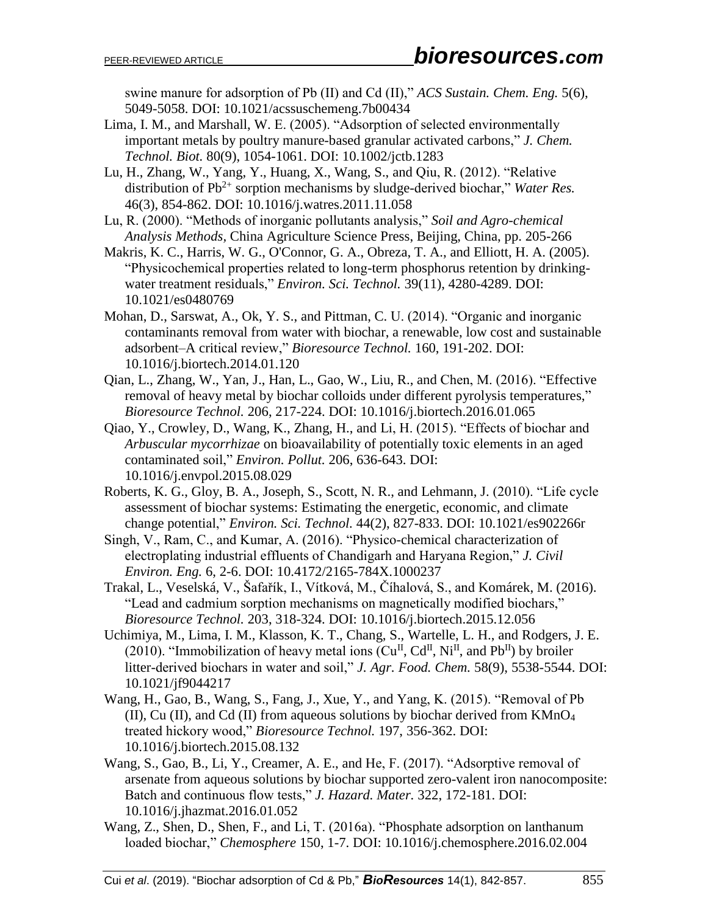swine manure for adsorption of Pb (II) and Cd (II)," *ACS Sustain. Chem. Eng.* 5(6), 5049-5058. DOI: 10.1021/acssuschemeng.7b00434

Lima, I. M., and Marshall, W. E. (2005). "Adsorption of selected environmentally important metals by poultry manure-based granular activated carbons," *J. Chem. Technol. Biot.* 80(9), 1054-1061. DOI: 10.1002/jctb.1283

Lu, H., Zhang, W., Yang, Y., Huang, X., Wang, S., and Qiu, R. (2012). "Relative distribution of Pb<sup>2+</sup> sorption mechanisms by sludge-derived biochar," *Water Res.* 46(3), 854-862. DOI: 10.1016/j.watres.2011.11.058

- Lu, R. (2000). "Methods of inorganic pollutants analysis," *Soil and Agro-chemical Analysis Methods,* China Agriculture Science Press, Beijing, China, pp. 205-266
- Makris, K. C., Harris, W. G., O'Connor, G. A., Obreza, T. A., and Elliott, H. A. (2005). "Physicochemical properties related to long-term phosphorus retention by drinkingwater treatment residuals," *Environ. Sci. Technol.* 39(11), 4280-4289. DOI: 10.1021/es0480769
- Mohan, D., Sarswat, A., Ok, Y. S., and Pittman, C. U. (2014). "Organic and inorganic contaminants removal from water with biochar, a renewable, low cost and sustainable adsorbent–A critical review," *Bioresource Technol.* 160, 191-202. DOI: 10.1016/j.biortech.2014.01.120
- Qian, L., Zhang, W., Yan, J., Han, L., Gao, W., Liu, R., and Chen, M. (2016). "Effective removal of heavy metal by biochar colloids under different pyrolysis temperatures," *Bioresource Technol.* 206, 217-224. DOI: 10.1016/j.biortech.2016.01.065
- Qiao, Y., Crowley, D., Wang, K., Zhang, H., and Li, H. (2015). "Effects of biochar and *Arbuscular mycorrhizae* on bioavailability of potentially toxic elements in an aged contaminated soil," *Environ. Pollut.* 206, 636-643. DOI: 10.1016/j.envpol.2015.08.029
- Roberts, K. G., Gloy, B. A., Joseph, S., Scott, N. R., and Lehmann, J. (2010). "Life cycle assessment of biochar systems: Estimating the energetic, economic, and climate change potential," *Environ. Sci. Technol.* 44(2), 827-833. DOI: 10.1021/es902266r
- Singh, V., Ram, C., and Kumar, A. (2016). "Physico-chemical characterization of electroplating industrial effluents of Chandigarh and Haryana Region," *J. Civil Environ. Eng.* 6, 2-6. DOI: 10.4172/2165-784X.1000237
- Trakal, L., Veselská, V., Šafařík, I., Vítková, M., Číhalová, S., and Komárek, M. (2016). "Lead and cadmium sorption mechanisms on magnetically modified biochars," *Bioresource Technol.* 203, 318-324. DOI: 10.1016/j.biortech.2015.12.056
- Uchimiya, M., Lima, I. M., Klasson, K. T., Chang, S., Wartelle, L. H., and Rodgers, J. E. (2010). "Immobilization of heavy metal ions  $(Cu^{II}, Cd^{II}, Ni^{II}, and Pb^{II})$  by broiler litter-derived biochars in water and soil," *J. Agr. Food. Chem.* 58(9), 5538-5544. DOI: 10.1021/jf9044217
- Wang, H., Gao, B., Wang, S., Fang, J., Xue, Y., and Yang, K. (2015). "Removal of Pb (II), Cu (II), and Cd (II) from aqueous solutions by biochar derived from  $KMnO<sub>4</sub>$ treated hickory wood," *Bioresource Technol.* 197, 356-362. DOI: 10.1016/j.biortech.2015.08.132
- Wang, S., Gao, B., Li, Y., Creamer, A. E., and He, F. (2017). "Adsorptive removal of arsenate from aqueous solutions by biochar supported zero-valent iron nanocomposite: Batch and continuous flow tests," *J. Hazard. Mater.* 322, 172-181. DOI: 10.1016/j.jhazmat.2016.01.052
- Wang, Z., Shen, D., Shen, F., and Li, T. (2016a). "Phosphate adsorption on lanthanum loaded biochar," *Chemosphere* 150, 1-7. DOI: 10.1016/j.chemosphere.2016.02.004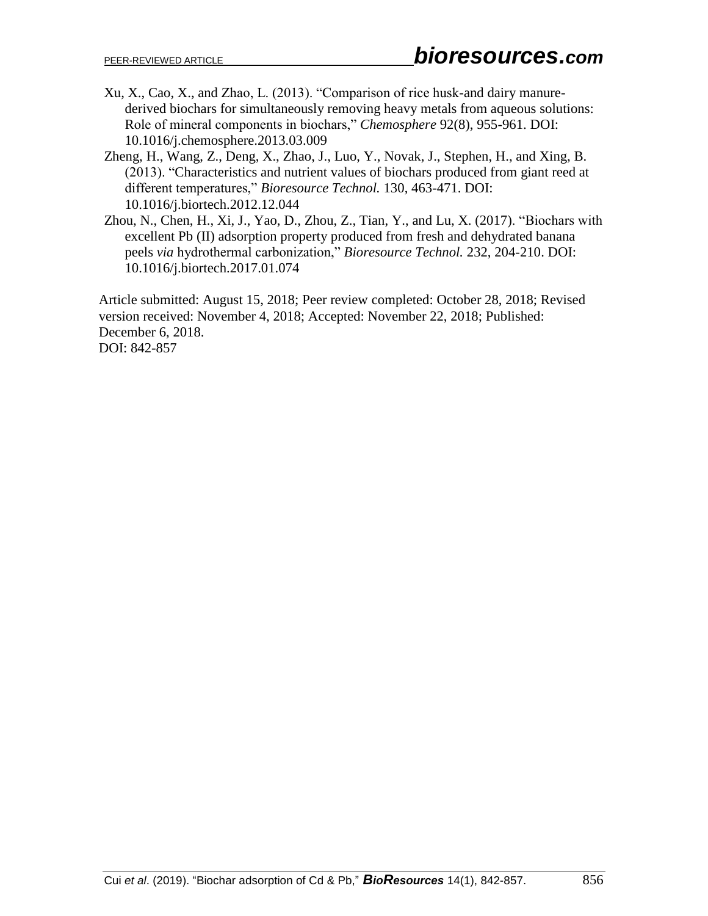- Xu, X., Cao, X., and Zhao, L. (2013). "Comparison of rice husk-and dairy manurederived biochars for simultaneously removing heavy metals from aqueous solutions: Role of mineral components in biochars," *Chemosphere* 92(8), 955-961. DOI: 10.1016/j.chemosphere.2013.03.009
- Zheng, H., Wang, Z., Deng, X., Zhao, J., Luo, Y., Novak, J., Stephen, H., and Xing, B. (2013). "Characteristics and nutrient values of biochars produced from giant reed at different temperatures," *Bioresource Technol.* 130, 463-471. DOI: 10.1016/j.biortech.2012.12.044
- Zhou, N., Chen, H., Xi, J., Yao, D., Zhou, Z., Tian, Y., and Lu, X. (2017). "Biochars with excellent Pb (II) adsorption property produced from fresh and dehydrated banana peels *via* hydrothermal carbonization," *Bioresource Technol.* 232, 204-210. DOI: 10.1016/j.biortech.2017.01.074

Article submitted: August 15, 2018; Peer review completed: October 28, 2018; Revised version received: November 4, 2018; Accepted: November 22, 2018; Published: December 6, 2018. DOI: 842-857